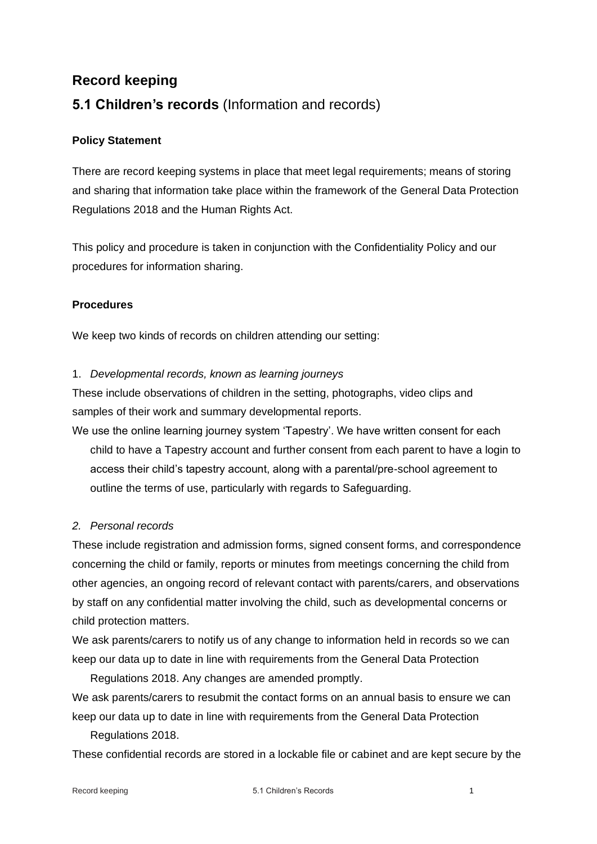# **Record keeping 5.1 Children's records** (Information and records)

## **Policy Statement**

There are record keeping systems in place that meet legal requirements; means of storing and sharing that information take place within the framework of the General Data Protection Regulations 2018 and the Human Rights Act.

This policy and procedure is taken in conjunction with the Confidentiality Policy and our procedures for information sharing.

## **Procedures**

We keep two kinds of records on children attending our setting:

## 1. *Developmental records, known as learning journeys*

These include observations of children in the setting, photographs, video clips and samples of their work and summary developmental reports.

We use the online learning journey system 'Tapestry'. We have written consent for each child to have a Tapestry account and further consent from each parent to have a login to access their child's tapestry account, along with a parental/pre-school agreement to outline the terms of use, particularly with regards to Safeguarding.

## *2. Personal records*

These include registration and admission forms, signed consent forms, and correspondence concerning the child or family, reports or minutes from meetings concerning the child from other agencies, an ongoing record of relevant contact with parents/carers, and observations by staff on any confidential matter involving the child, such as developmental concerns or child protection matters.

We ask parents/carers to notify us of any change to information held in records so we can keep our data up to date in line with requirements from the General Data Protection

Regulations 2018. Any changes are amended promptly. We ask parents/carers to resubmit the contact forms on an annual basis to ensure we can

keep our data up to date in line with requirements from the General Data Protection Regulations 2018.

These confidential records are stored in a lockable file or cabinet and are kept secure by the